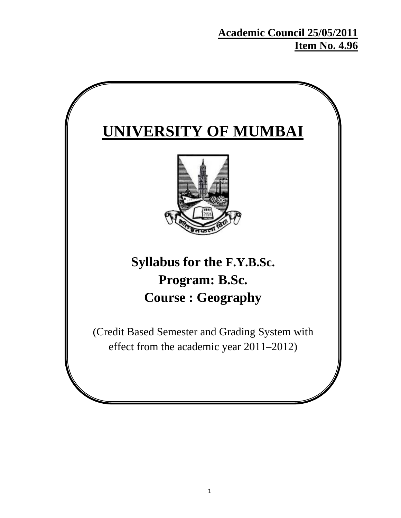# **Academic Council 25/05/2011 Item No. 4.96**

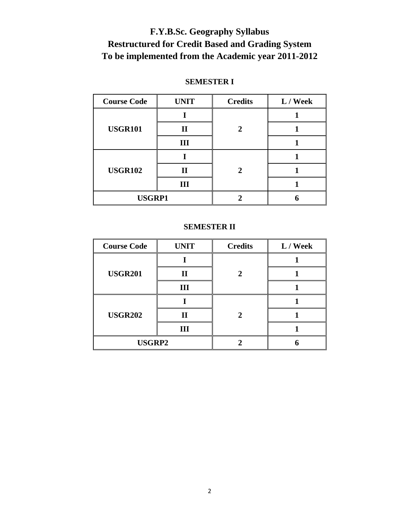# **F.Y.B.Sc. Geography Syllabus Restructured for Credit Based and Grading System To be implemented from the Academic year 2011-2012**

# **SEMESTER I**

| <b>Course Code</b> | <b>UNIT</b>  | <b>Credits</b> | L / Week |
|--------------------|--------------|----------------|----------|
| <b>USGR101</b>     |              |                |          |
|                    | $\mathbf{I}$ |                |          |
|                    | Ш            |                |          |
| <b>USGR102</b>     |              |                |          |
|                    | Н            |                |          |
|                    | Ш            |                |          |
| <b>USGRP1</b>      |              |                |          |

### **SEMESTER II**

| <b>Course Code</b> | <b>UNIT</b> | <b>Credits</b> | L / Week |
|--------------------|-------------|----------------|----------|
| <b>USGR201</b>     |             |                |          |
|                    | $\mathbf H$ |                |          |
|                    | Ш           |                |          |
| <b>USGR202</b>     |             |                |          |
|                    | $\rm II$    |                |          |
|                    | Ш           |                |          |
| <b>USGRP2</b>      |             |                |          |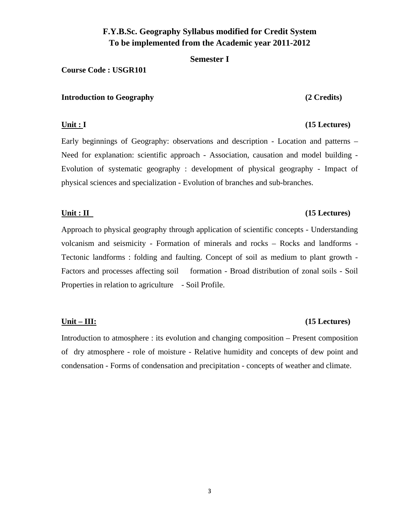# **F.Y.B.Sc. Geography Syllabus modified for Credit System To be implemented from the Academic year 2011-2012**

**Semester I** 

### **Course Code : USGR101**

### **Introduction to Geography (2 Credits)**

Early beginnings of Geography: observations and description - Location and patterns – Need for explanation: scientific approach - Association, causation and model building - Evolution of systematic geography : development of physical geography - Impact of physical sciences and specialization - Evolution of branches and sub-branches.

### **Unit : II** (15 Lectures)

Approach to physical geography through application of scientific concepts - Understanding volcanism and seismicity - Formation of minerals and rocks – Rocks and landforms - Tectonic landforms : folding and faulting. Concept of soil as medium to plant growth - Factors and processes affecting soil formation - Broad distribution of zonal soils - Soil Properties in relation to agriculture - Soil Profile.

Introduction to atmosphere : its evolution and changing composition – Present composition of dry atmosphere - role of moisture - Relative humidity and concepts of dew point and condensation - Forms of condensation and precipitation - concepts of weather and climate.

### **Unit – III: (15 Lectures)**

# **Unit : I** (15 Lectures)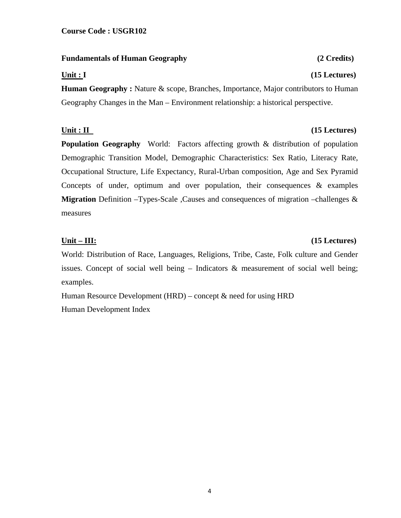### **Fundamentals of Human Geography (2 Credits)**

**Human Geography :** Nature & scope, Branches, Importance, Major contributors to Human Geography Changes in the Man – Environment relationship: a historical perspective.

### Unit : II (15 Lectures)

**Population Geography** World: Factors affecting growth & distribution of population Demographic Transition Model, Demographic Characteristics: Sex Ratio, Literacy Rate, Occupational Structure, Life Expectancy, Rural-Urban composition, Age and Sex Pyramid Concepts of under, optimum and over population, their consequences  $\&$  examples **Migration** Definition –Types-Scale ,Causes and consequences of migration –challenges & measures

## **Unit – III: (15 Lectures)**

# World: Distribution of Race, Languages, Religions, Tribe, Caste, Folk culture and Gender issues. Concept of social well being – Indicators & measurement of social well being; examples.

Human Resource Development (HRD) – concept  $\&$  need for using HRD Human Development Index

4

# **Unit : I** (15 Lectures)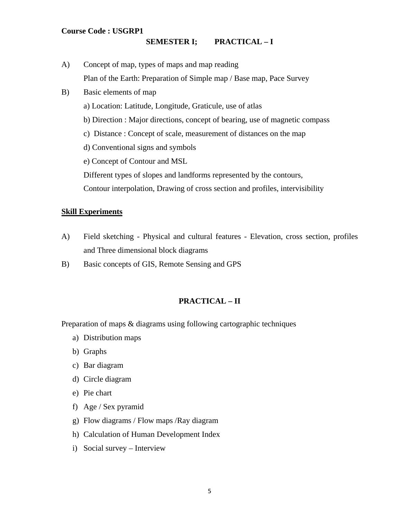### **Course Code : USGRP1**

### **SEMESTER I; PRACTICAL – I**

- A) Concept of map, types of maps and map reading Plan of the Earth: Preparation of Simple map / Base map, Pace Survey
- B) Basic elements of map
	- a) Location: Latitude, Longitude, Graticule, use of atlas
	- b) Direction : Major directions, concept of bearing, use of magnetic compass
	- c) Distance : Concept of scale, measurement of distances on the map
	- d) Conventional signs and symbols
	- e) Concept of Contour and MSL
	- Different types of slopes and landforms represented by the contours,
	- Contour interpolation, Drawing of cross section and profiles, intervisibility

### **Skill Experiments**

- A) Field sketching Physical and cultural features Elevation, cross section, profiles and Three dimensional block diagrams
- B) Basic concepts of GIS, Remote Sensing and GPS

### **PRACTICAL – II**

Preparation of maps & diagrams using following cartographic techniques

- a) Distribution maps
- b) Graphs
- c) Bar diagram
- d) Circle diagram
- e) Pie chart
- f) Age / Sex pyramid
- g) Flow diagrams / Flow maps /Ray diagram
- h) Calculation of Human Development Index
- i) Social survey Interview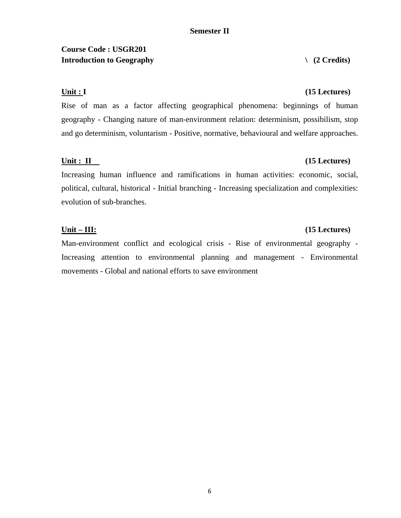# **Course Code : USGR201**  Introduction to Geography  $(2 \text{ Credits})$

Rise of man as a factor affecting geographical phenomena: beginnings of human geography - Changing nature of man-environment relation: determinism, possibilism, stop and go determinism, voluntarism - Positive, normative, behavioural and welfare approaches.

### **Unit : II** (15 Lectures)

Increasing human influence and ramifications in human activities: economic, social, political, cultural, historical - Initial branching - Increasing specialization and complexities: evolution of sub-branches.

Man-environment conflict and ecological crisis - Rise of environmental geography - Increasing attention to environmental planning and management - Environmental movements - Global and national efforts to save environment

### **Unit : I** (15 Lectures)

# **Unit – III: (15 Lectures)**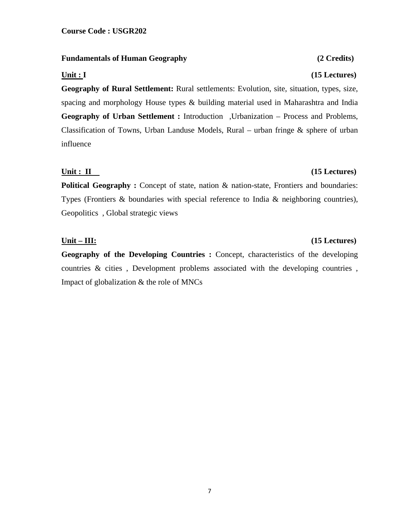### **Fundamentals of Human Geography (2 Credits)**

### **Unit : I** (15 Lectures)

**Geography of Rural Settlement:** Rural settlements: Evolution, site, situation, types, size, spacing and morphology House types & building material used in Maharashtra and India **Geography of Urban Settlement :** Introduction ,Urbanization – Process and Problems, Classification of Towns, Urban Landuse Models, Rural – urban fringe & sphere of urban influence

### **Unit : II** (15 Lectures)

**Political Geography :** Concept of state, nation & nation-state, Frontiers and boundaries: Types (Frontiers & boundaries with special reference to India & neighboring countries), Geopolitics , Global strategic views

**Geography of the Developing Countries :** Concept, characteristics of the developing countries & cities , Development problems associated with the developing countries , Impact of globalization & the role of MNCs

# **Unit – III: (15 Lectures)**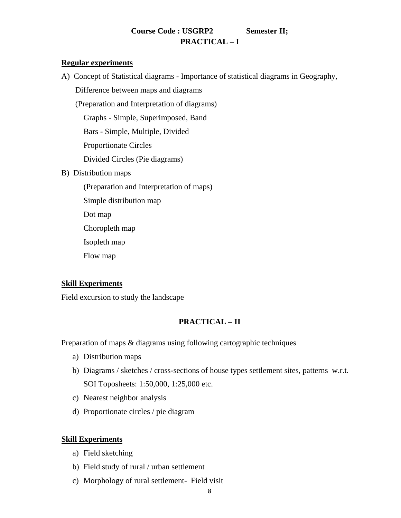# **Course Code : USGRP2 Semester II; PRACTICAL – I**

### **Regular experiments**

A) Concept of Statistical diagrams - Importance of statistical diagrams in Geography,

Difference between maps and diagrams

(Preparation and Interpretation of diagrams)

Graphs - Simple, Superimposed, Band

Bars - Simple, Multiple, Divided

Proportionate Circles

Divided Circles (Pie diagrams)

- B) Distribution maps
	- (Preparation and Interpretation of maps)

Simple distribution map

Dot map

Choropleth map

Isopleth map

Flow map

### **Skill Experiments**

Field excursion to study the landscape

# **PRACTICAL – II**

Preparation of maps & diagrams using following cartographic techniques

- a) Distribution maps
- b) Diagrams / sketches / cross-sections of house types settlement sites, patterns w.r.t. SOI Toposheets: 1:50,000, 1:25,000 etc.
- c) Nearest neighbor analysis
- d) Proportionate circles / pie diagram

### **Skill Experiments**

- a) Field sketching
- b) Field study of rural / urban settlement
- c) Morphology of rural settlement- Field visit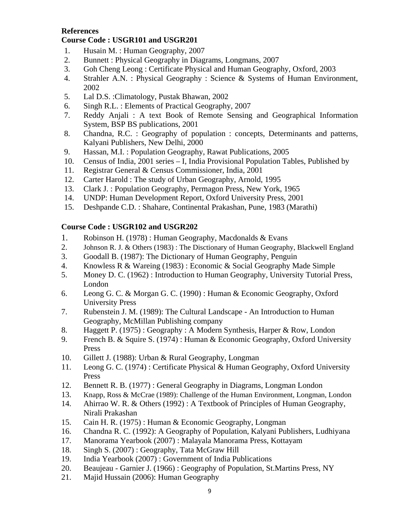### **References**

### **Course Code : USGR101 and USGR201**

- 1. Husain M. : Human Geography, 2007
- 2. Bunnett : Physical Geography in Diagrams, Longmans, 2007
- 3. Goh Cheng Leong : Certificate Physical and Human Geography, Oxford, 2003
- 4. Strahler A.N. : Physical Geography : Science & Systems of Human Environment, 2002
- 5. Lal D.S. :Climatology, Pustak Bhawan, 2002
- 6. Singh R.L. : Elements of Practical Geography, 2007
- 7. Reddy Anjali : A text Book of Remote Sensing and Geographical Information System, BSP BS publications, 2001
- 8. Chandna, R.C. : Geography of population : concepts, Determinants and patterns, Kalyani Publishers, New Delhi, 2000
- 9. Hassan, M.I. : Population Geography, Rawat Publications, 2005
- 10. Census of India, 2001 series I, India Provisional Population Tables, Published by
- 11. Registrar General & Census Commissioner, India, 2001
- 12. Carter Harold : The study of Urban Geography, Arnold, 1995
- 13. Clark J. : Population Geography, Permagon Press, New York, 1965
- 14. UNDP: Human Development Report, Oxford University Press, 2001
- 15. Deshpande C.D. : Shahare, Continental Prakashan, Pune, 1983 (Marathi)

## **Course Code : USGR102 and USGR202**

- 1. Robinson H. (1978) : Human Geography, Macdonalds & Evans
- 2. Johnson R. J. & Others (1983) : The Disctionary of Human Geography, Blackwell England
- 3. Goodall B. (1987): The Dictionary of Human Geography, Penguin
- 4. Knowless R & Wareing (1983) : Economic & Social Geography Made Simple
- 5. Money D. C. (1962) : Introduction to Human Geography, University Tutorial Press, London
- 6. Leong G. C. & Morgan G. C. (1990) : Human & Economic Geography, Oxford University Press
- 7. Rubenstein J. M. (1989): The Cultural Landscape An Introduction to Human Geography, McMillan Publishing company
- 8. Haggett P. (1975) : Geography : A Modern Synthesis, Harper & Row, London
- 9. French B. & Squire S. (1974) : Human & Economic Geography, Oxford University Press
- 10. Gillett J. (1988): Urban & Rural Geography, Longman
- 11. Leong G. C. (1974) : Certificate Physical & Human Geography, Oxford University Press
- 12. Bennett R. B. (1977) : General Geography in Diagrams, Longman London
- 13. Knapp, Ross & McCrae (1989): Challenge of the Human Environment, Longman, London
- 14. Ahirrao W. R. & Others (1992) : A Textbook of Principles of Human Geography, Nirali Prakashan
- 15. Cain H. R. (1975) : Human & Economic Geography, Longman
- 16. Chandna R. C. (1992): A Geography of Population, Kalyani Publishers, Ludhiyana
- 17. Manorama Yearbook (2007) : Malayala Manorama Press, Kottayam
- 18. Singh S. (2007) : Geography, Tata McGraw Hill
- 19. India Yearbook (2007) : Government of India Publications
- 20. Beaujeau Garnier J. (1966) : Geography of Population, St.Martins Press, NY
- 21. Majid Hussain (2006): Human Geography